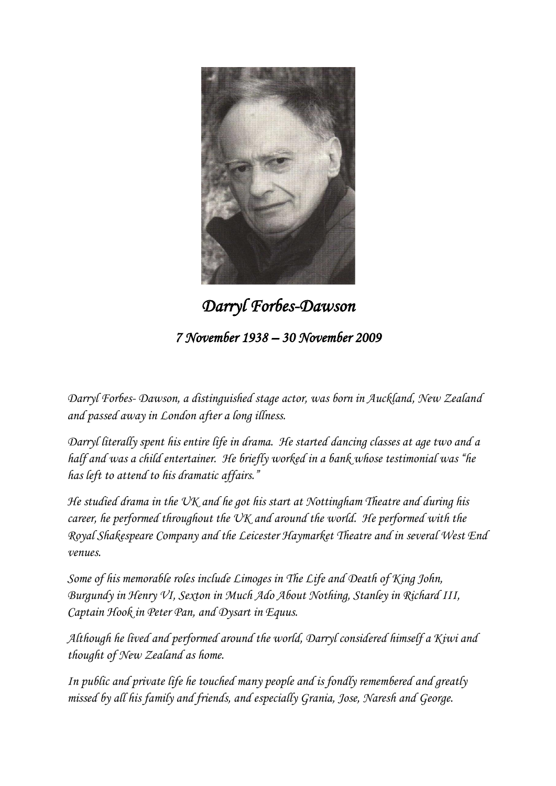

*Darryl Forbes-Dawson 7 November 1938 – 30 November 2009* 

*Darryl Forbes- Dawson, a distinguished stage actor, was born in Auckland, New Zealand and passed away in London after a long illness.*

*Darryl literally spent his entire life in drama. He started dancing classes at age two and a half and was a child entertainer. He briefly worked in a bank whose testimonial was "he has left to attend to his dramatic affairs."*

*He studied drama in the UK and he got his start at Nottingham Theatre and during his career, he performed throughout the UK and around the world. He performed with the Royal Shakespeare Company and the Leicester Haymarket Theatre and in several West End venues.*

*Some of his memorable roles include Limoges in The Life and Death of King John, Burgundy in Henry VI, Sexton in Much Ado About Nothing, Stanley in Richard III, Captain Hook in Peter Pan, and Dysart in Equus.*

*Although he lived and performed around the world, Darryl considered himself a Kiwi and thought of New Zealand as home.* 

*In public and private life he touched many people and is fondly remembered and greatly missed by all his family and friends, and especially Grania, Jose, Naresh and George.*